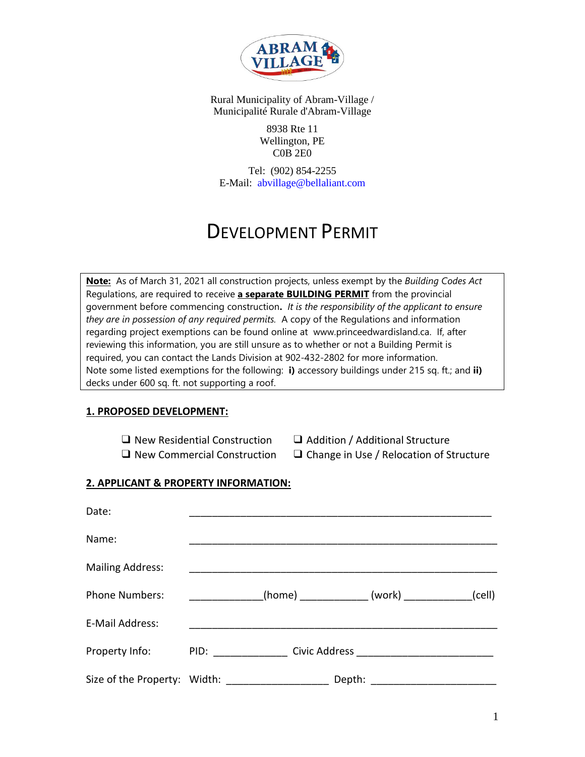

> 8938 Rte 11 Wellington, PE C0B 2E0

Tel: (902) 854-2255 E-Mail: abvillage@bellaliant.com

# DEVELOPMENT PERMIT

**Note:** As of March 31, 2021 all construction projects, unless exempt by the *Building Codes Act* Regulations, are required to receive **a separate BUILDING PERMIT** from the provincial government before commencing construction**.** *It is the responsibility of the applicant to ensure they are in possession of any required permits.* A copy of the Regulations and information regarding project exemptions can be found online at [www.princeedwardisland.ca.](http://www.princeedwardisland.ca/) If, after reviewing this information, you are still unsure as to whether or not a Building Permit is required, you can contact the Lands Division at [902-432-2](tel:9023685280)802 for more information. Note some listed exemptions for the following: **i)** accessory buildings under 215 sq. ft.; and **ii)** decks under 600 sq. ft. not supporting a roof.

#### **1. PROPOSED DEVELOPMENT:**

- ❑ New Residential Construction ❑ Addition / Additional Structure
- 
- ❑ New Commercial Construction ❑ Change in Use / Relocation of Structure

## **2. APPLICANT & PROPERTY INFORMATION:**

| Date:                        |                                                                                                                |  |        |                                               |        |
|------------------------------|----------------------------------------------------------------------------------------------------------------|--|--------|-----------------------------------------------|--------|
| Name:                        |                                                                                                                |  |        |                                               |        |
| <b>Mailing Address:</b>      |                                                                                                                |  |        |                                               |        |
| <b>Phone Numbers:</b>        |                                                                                                                |  |        | _(home) _______________ (work) ______________ | (cell) |
| E-Mail Address:              |                                                                                                                |  |        |                                               |        |
| Property Info:               | PID: Andrea Maria Maria Maria Maria Maria Maria Maria Maria Maria Maria Maria Maria Maria Maria Maria Maria Ma |  |        |                                               |        |
| Size of the Property: Width: |                                                                                                                |  | Depth: |                                               |        |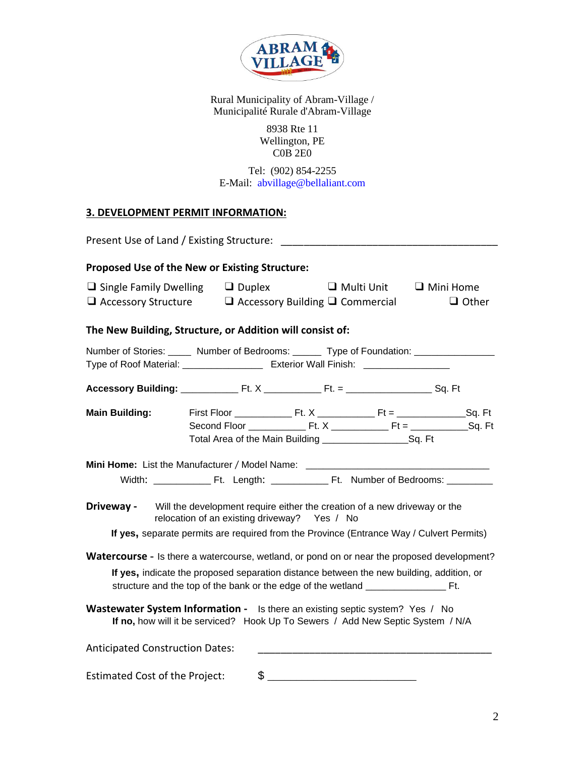

> 8938 Rte 11 Wellington, PE  $COB$ <sup>2 $E0$ </sup>

Tel: (902) 854-2255 E-Mail: abvillage@bellaliant.com

# **3. DEVELOPMENT PERMIT INFORMATION:**

| Present Use of Land / Existing Structure:                                                                                                                                                      |                                                                                                                           |                   |                                  |
|------------------------------------------------------------------------------------------------------------------------------------------------------------------------------------------------|---------------------------------------------------------------------------------------------------------------------------|-------------------|----------------------------------|
| <b>Proposed Use of the New or Existing Structure:</b>                                                                                                                                          |                                                                                                                           |                   |                                  |
| $\Box$ Single Family Dwelling $\Box$ Duplex<br>$\Box$ Accessory Structure                                                                                                                      | $\Box$ Accessory Building $\Box$ Commercial                                                                               | $\Box$ Multi Unit | $\Box$ Mini Home<br>$\Box$ Other |
| The New Building, Structure, or Addition will consist of:                                                                                                                                      |                                                                                                                           |                   |                                  |
| Number of Stories: _____ Number of Bedrooms: ______ Type of Foundation: _________<br>Type of Roof Material: ______________________ Exterior Wall Finish: _____________                         |                                                                                                                           |                   |                                  |
|                                                                                                                                                                                                |                                                                                                                           |                   |                                  |
| <b>Main Building:</b>                                                                                                                                                                          |                                                                                                                           |                   |                                  |
| Mini Home: List the Manufacturer / Model Name: _________________________________                                                                                                               |                                                                                                                           |                   |                                  |
| Driveway -<br>If yes, separate permits are required from the Province (Entrance Way / Culvert Permits)                                                                                         | Will the development require either the creation of a new driveway or the<br>relocation of an existing driveway? Yes / No |                   |                                  |
| <b>Watercourse -</b> Is there a watercourse, wetland, or pond on or near the proposed development?<br>If yes, indicate the proposed separation distance between the new building, addition, or |                                                                                                                           |                   |                                  |
| <b>Wastewater System Information -</b> Is there an existing septic system? Yes / No<br>If no, how will it be serviced? Hook Up To Sewers / Add New Septic System / N/A                         |                                                                                                                           |                   |                                  |
| <b>Anticipated Construction Dates:</b>                                                                                                                                                         |                                                                                                                           |                   |                                  |
| <b>Estimated Cost of the Project:</b>                                                                                                                                                          |                                                                                                                           | $\frac{1}{2}$     |                                  |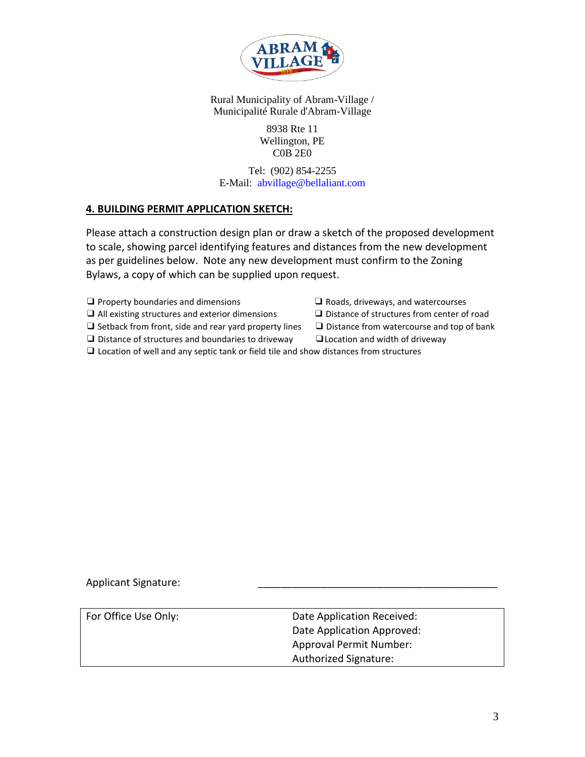

> 8938 Rte 11 Wellington, PE C0B 2E0

Tel: (902) 854-2255 E-Mail: abvillage@bellaliant.com

#### **4. BUILDING PERMIT APPLICATION SKETCH:**

Please attach a construction design plan or draw a sketch of the proposed development to scale, showing parcel identifying features and distances from the new development as per guidelines below. Note any new development must confirm to the Zoning Bylaws, a copy of which can be supplied upon request.

- ❑ Property boundaries and dimensions ❑ Roads, driveways, and watercourses
- ❑ All existing structures and exterior dimensions ❑ Distance of structures from center of road
- ❑ Setback from front, side and rear yard property lines ❑ Distance from watercourse and top of bank
- ❑ Distance of structures and boundaries to driveway ❑Location and width of driveway
- 
- 
- -
- ❑ Location of well and any septic tank or field tile and show distances from structures

Applicant Signature:

For Office Use Only: Case Controller Mate Application Received: Date Application Approved: Approval Permit Number: Authorized Signature: